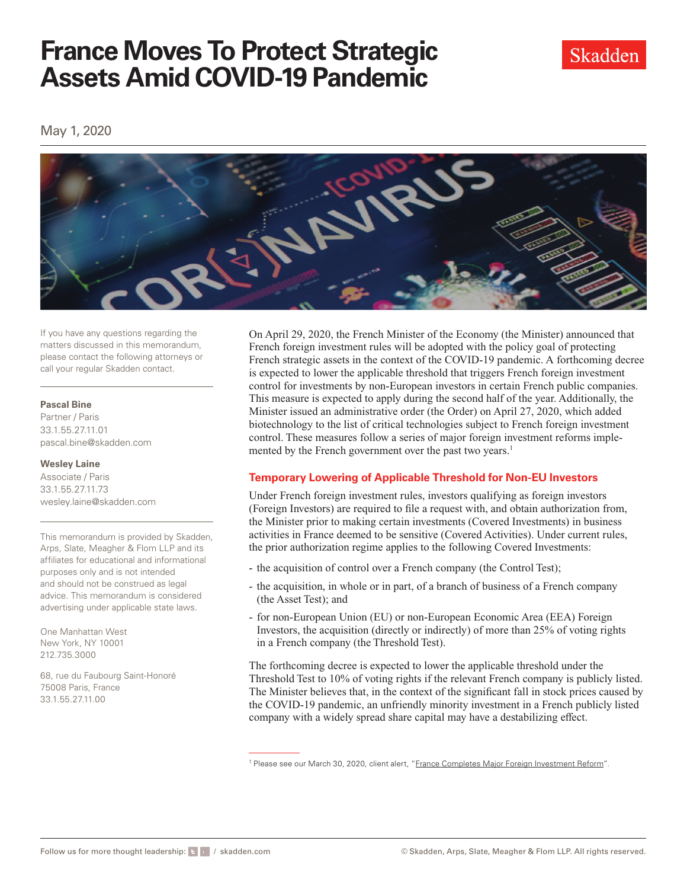# **France Moves To Protect Strategic Assets Amid COVID-19 Pandemic**



May 1, 2020



If you have any questions regarding the matters discussed in this memorandum, please contact the following attorneys or call your regular Skadden contact.

#### **Pascal Bine**

Partner / Paris 33.1.55.27.11.01 [pascal.bine@skadden.com](mailto:pascal.bine@skadden.com)

### **Wesley Laine**

Associate / Paris 33.1.55.27.11.73 [wesley.laine@skadden.com](mailto:wesley.laine@skadden.com)

This memorandum is provided by Skadden, Arps, Slate, Meagher & Flom LLP and its affiliates for educational and informational purposes only and is not intended and should not be construed as legal advice. This memorandum is considered advertising under applicable state laws.

One Manhattan West New York, NY 10001 212.735.3000

68, rue du Faubourg Saint-Honoré 75008 Paris, France 33.1.55.27.11.00

On April 29, 2020, the French Minister of the Economy (the Minister) announced that French foreign investment rules will be adopted with the policy goal of protecting French strategic assets in the context of the COVID-19 pandemic. A forthcoming decree is expected to lower the applicable threshold that triggers French foreign investment control for investments by non-European investors in certain French public companies. This measure is expected to apply during the second half of the year. Additionally, the Minister issued an administrative order (the Order) on April 27, 2020, which added biotechnology to the list of critical technologies subject to French foreign investment control. These measures follow a series of major foreign investment reforms implemented by the French government over the past two years.<sup>1</sup>

# **Temporary Lowering of Applicable Threshold for Non-EU Investors**

Under French foreign investment rules, investors qualifying as foreign investors (Foreign Investors) are required to fle a request with, and obtain authorization from, the Minister prior to making certain investments (Covered Investments) in business activities in France deemed to be sensitive (Covered Activities). Under current rules, the prior authorization regime applies to the following Covered Investments:

- the acquisition of control over a French company (the Control Test);
- the acquisition, in whole or in part, of a branch of business of a French company (the Asset Test); and
- for non-European Union (EU) or non-European Economic Area (EEA) Foreign Investors, the acquisition (directly or indirectly) of more than 25% of voting rights in a French company (the Threshold Test).

The forthcoming decree is expected to lower the applicable threshold under the Threshold Test to 10% of voting rights if the relevant French company is publicly listed. The Minister believes that, in the context of the signifcant fall in stock prices caused by the COVID-19 pandemic, an unfriendly minority investment in a French publicly listed company with a widely spread share capital may have a destabilizing efect.

<sup>&</sup>lt;sup>1</sup> Please see our March 30, 2020, client alert, ["France Completes Major Foreign Investment Reform](https://www.skadden.com/insights/publications/2020/03/france-completes-major-foreign-investment-reform)".